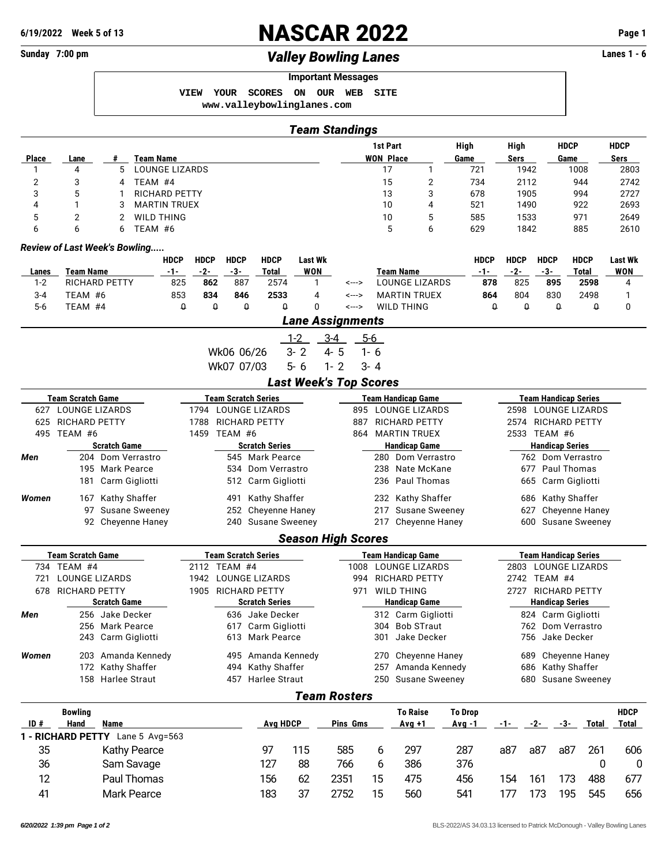*Review of Last Week's Bowling.....*

**6/19/2022 Week 5 of 13** NASCAR 2022 **Page 1 Sunday 7:00 pm** *Valley Bowling Lanes* **Lanes 1 - 6 Important Messages VIEW YOUR SCORES ON OUR WEB SITE <www.valleybowlinglanes.com>** *Team Standings* **1st Part High High HDCP HDCP Place Lane # Team Name WON Place Game Sers Game Sers** 1 4 5 LOUNGE LIZARDS 17 1 721 1942 1008 2803 2 3 4 TEAM #4 15 2 734 2112 944 2742 3 5 1 RICHARD PETTY 13 3 678 1905 994 2727 4 1 3 MARTIN TRUEX 10 4 521 1490 922 2693 5 2 2 WILD THING 10 5 585 1533 971 2649 6 6 6 TEAM #6 5 6 629 1842 885 2610 **HDCP HDCP HDCP HDCP Last Wk HDCP HDCP HDCP HDCP Last Wk Lanes Team Name -1- -2- -3- Total WON Team Name -1- -2- -3- Total WON** 1-2 RICHARD PETTY 825 **862** 887 2574 1 <---> LOUNGE LIZARDS **878** 825 **895 2598** 4 3-4 TEAM #6 853 **834 846 2533** 4 <---> MARTIN TRUEX **864** 804 830 2498 1 5-6 TEAM #4 0 0 0 0 0 <---> WILD THING 0 0 0 0 0 *Lane Assignments* 1-2 3-4 5-6 Wk06 06/26 3-2 4-5 1-6 Wk07 07/03 5-6 1-2 3-4 *Last Week's Top Scores* **Team Scratch Game Team Scratch Series Team Handicap Game Team Handicap Series** 627 LOUNGE LIZARDS 1794 LOUNGE LIZARDS 895 LOUNGE LIZARDS 2598 LOUNGE LIZARDS

## 625 RICHARD PETTY 1788 RICHARD PETTY 887 RICHARD PETTY 2574 RICHARD PETTY 495 TEAM #6 1459 TEAM #6 864 MARTIN TRUEX 2533 TEAM #6 **Scratch Game Scratch Series Handicap Game Handicap Series** *Men* 204 Dom Verrastro 545 Mark Pearce 280 Dom Verrastro 762 Dom Verrastro 195 Mark Pearce 534 Dom Verrastro 238 Nate McKane 677 Paul Thomas 181 Carm Gigliotti 512 Carm Gigliotti 236 Paul Thomas 665 Carm Gigliotti *Women* 167 Kathy Shaffer 491 Kathy Shaffer 232 Kathy Shaffer 686 Kathy Shaffer 97 Susane Sweeney 252 Cheyenne Haney 217 Susane Sweeney 627 Cheyenne Haney 92 Cheyenne Haney 240 Susane Sweeney 217 Cheyenne Haney 600 Susane Sweeney *Season High Scores* **Team Scratch Game Team Scratch Series Team Handicap Game Team Handicap Series** 734 TEAM #4 2112 TEAM #4 1008 LOUNGE LIZARDS 2803 LOUNGE LIZARDS 721 LOUNGE LIZARDS 1942 LOUNGE LIZARDS 994 RICHARD PETTY 2742 TEAM #4 678 RICHARD PETTY 1905 RICHARD PETTY 971 WILD THING 2727 RICHARD PETTY **Scratch Game Scratch Series Handicap Game Handicap Series** *Men* 256 Jake Decker 636 Jake Decker 312 Carm Gigliotti 824 Carm Gigliotti 256 Mark Pearce 617 Carm Gigliotti 304 Bob STraut 762 Dom Verrastro 243 Carm Gigliotti 613 Mark Pearce 301 Jake Decker 756 Jake Decker *Women* 203 Amanda Kennedy 495 Amanda Kennedy 270 Cheyenne Haney 689 Cheyenne Haney 172 Kathy Shaffer 494 Kathy Shaffer 257 Amanda Kennedy 686 Kathy Shaffer 158 Harlee Straut 457 Harlee Straut 250 Susane Sweeney 680 Susane Sweeney *Team Rosters* **Bowling To Raise To Drop HDCP ID # Hand Name Avg HDCP Pins Gms Avg +1 Avg -1 -1- -2- -3- Total Total 1 - RICHARD PETTY** Lane 5 Avg=563 35 Kathy Pearce 97 115 585 6 297 287 a87 a87 a87 261 606

36 Sam Savage 127 88 766 6 386 376 0 0 12 Paul Thomas 156 62 2351 15 475 456 154 161 173 488 677 41 Mark Pearce 183 37 2752 15 560 541 177 173 195 545 656